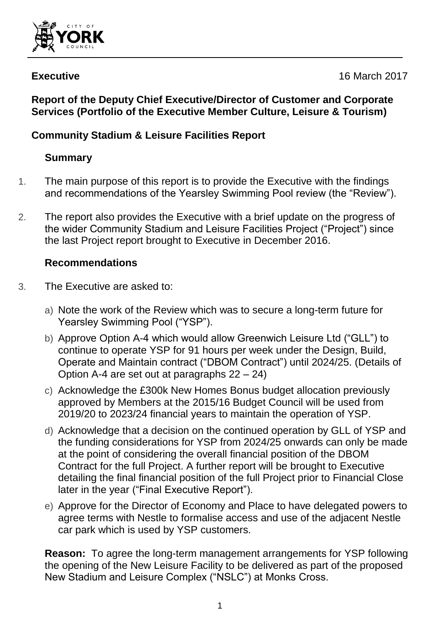

**Executive** 16 March 2017

#### **Report of the Deputy Chief Executive/Director of Customer and Corporate Services (Portfolio of the Executive Member Culture, Leisure & Tourism)**

# **Community Stadium & Leisure Facilities Report**

# **Summary**

- 1. The main purpose of this report is to provide the Executive with the findings and recommendations of the Yearsley Swimming Pool review (the "Review").
- 2. The report also provides the Executive with a brief update on the progress of the wider Community Stadium and Leisure Facilities Project ("Project") since the last Project report brought to Executive in December 2016.

#### **Recommendations**

- 3. The Executive are asked to:
	- a) Note the work of the Review which was to secure a long-term future for Yearsley Swimming Pool ("YSP").
	- b) Approve Option A-4 which would allow Greenwich Leisure Ltd ("GLL") to continue to operate YSP for 91 hours per week under the Design, Build, Operate and Maintain contract ("DBOM Contract") until 2024/25. (Details of Option A-4 are set out at paragraphs 22 – 24)
	- c) Acknowledge the £300k New Homes Bonus budget allocation previously approved by Members at the 2015/16 Budget Council will be used from 2019/20 to 2023/24 financial years to maintain the operation of YSP.
	- d) Acknowledge that a decision on the continued operation by GLL of YSP and the funding considerations for YSP from 2024/25 onwards can only be made at the point of considering the overall financial position of the DBOM Contract for the full Project. A further report will be brought to Executive detailing the final financial position of the full Project prior to Financial Close later in the year ("Final Executive Report").
	- e) Approve for the Director of Economy and Place to have delegated powers to agree terms with Nestle to formalise access and use of the adjacent Nestle car park which is used by YSP customers.

**Reason:** To agree the long-term management arrangements for YSP following the opening of the New Leisure Facility to be delivered as part of the proposed New Stadium and Leisure Complex ("NSLC") at Monks Cross.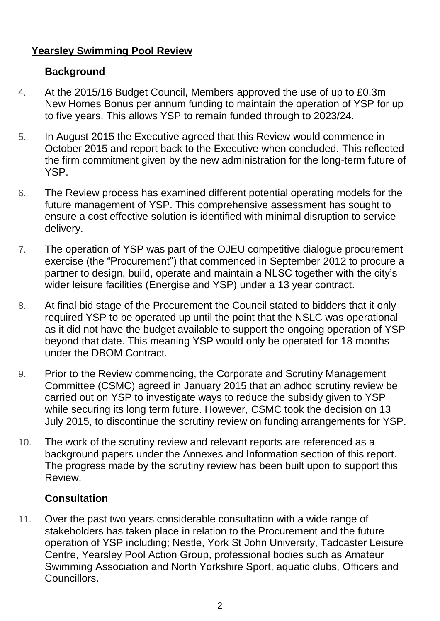#### **Yearsley Swimming Pool Review**

#### **Background**

- 4. At the 2015/16 Budget Council, Members approved the use of up to £0.3m New Homes Bonus per annum funding to maintain the operation of YSP for up to five years. This allows YSP to remain funded through to 2023/24.
- 5. In August 2015 the Executive agreed that this Review would commence in October 2015 and report back to the Executive when concluded. This reflected the firm commitment given by the new administration for the long-term future of YSP.
- 6. The Review process has examined different potential operating models for the future management of YSP. This comprehensive assessment has sought to ensure a cost effective solution is identified with minimal disruption to service delivery.
- 7. The operation of YSP was part of the OJEU competitive dialogue procurement exercise (the "Procurement") that commenced in September 2012 to procure a partner to design, build, operate and maintain a NLSC together with the city's wider leisure facilities (Energise and YSP) under a 13 year contract.
- 8. At final bid stage of the Procurement the Council stated to bidders that it only required YSP to be operated up until the point that the NSLC was operational as it did not have the budget available to support the ongoing operation of YSP beyond that date. This meaning YSP would only be operated for 18 months under the DBOM Contract.
- 9. Prior to the Review commencing, the Corporate and Scrutiny Management Committee (CSMC) agreed in January 2015 that an adhoc scrutiny review be carried out on YSP to investigate ways to reduce the subsidy given to YSP while securing its long term future. However, CSMC took the decision on 13 July 2015, to discontinue the scrutiny review on funding arrangements for YSP.
- 10. The work of the scrutiny review and relevant reports are referenced as a background papers under the Annexes and Information section of this report. The progress made by the scrutiny review has been built upon to support this Review.

## **Consultation**

11. Over the past two years considerable consultation with a wide range of stakeholders has taken place in relation to the Procurement and the future operation of YSP including; Nestle, York St John University, Tadcaster Leisure Centre, Yearsley Pool Action Group, professional bodies such as Amateur Swimming Association and North Yorkshire Sport, aquatic clubs, Officers and Councillors.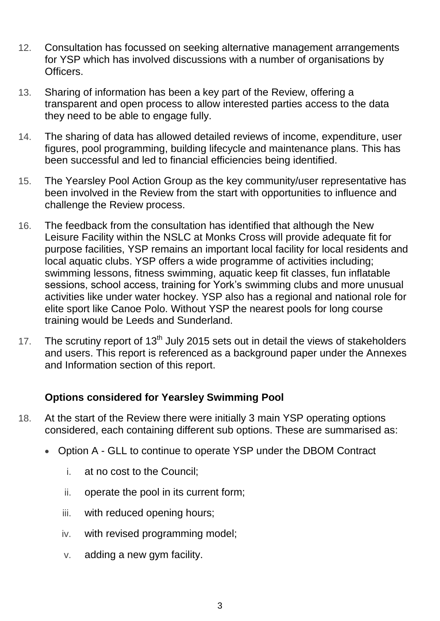- 12. Consultation has focussed on seeking alternative management arrangements for YSP which has involved discussions with a number of organisations by Officers.
- 13. Sharing of information has been a key part of the Review, offering a transparent and open process to allow interested parties access to the data they need to be able to engage fully.
- 14. The sharing of data has allowed detailed reviews of income, expenditure, user figures, pool programming, building lifecycle and maintenance plans. This has been successful and led to financial efficiencies being identified.
- 15. The Yearsley Pool Action Group as the key community/user representative has been involved in the Review from the start with opportunities to influence and challenge the Review process.
- 16. The feedback from the consultation has identified that although the New Leisure Facility within the NSLC at Monks Cross will provide adequate fit for purpose facilities, YSP remains an important local facility for local residents and local aquatic clubs. YSP offers a wide programme of activities including; swimming lessons, fitness swimming, aquatic keep fit classes, fun inflatable sessions, school access, training for York's swimming clubs and more unusual activities like under water hockey. YSP also has a regional and national role for elite sport like Canoe Polo. Without YSP the nearest pools for long course training would be Leeds and Sunderland.
- 17. The scrutiny report of  $13<sup>th</sup>$  July 2015 sets out in detail the views of stakeholders and users. This report is referenced as a background paper under the Annexes and Information section of this report.

#### **Options considered for Yearsley Swimming Pool**

- 18. At the start of the Review there were initially 3 main YSP operating options considered, each containing different sub options. These are summarised as:
	- Option A GLL to continue to operate YSP under the DBOM Contract
		- i. at no cost to the Council;
		- ii. operate the pool in its current form;
		- iii. with reduced opening hours;
		- iv. with revised programming model;
		- v. adding a new gym facility.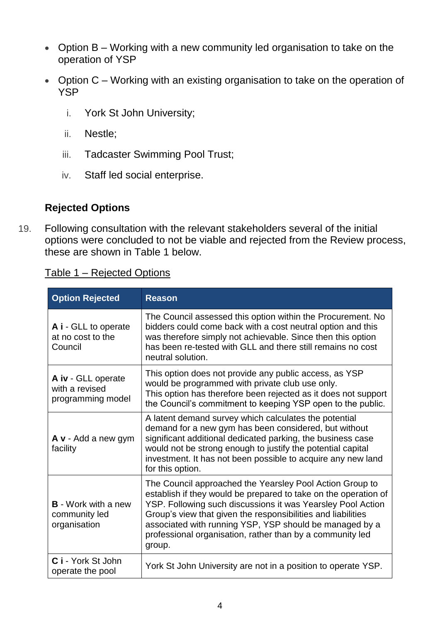- Option B Working with a new community led organisation to take on the operation of YSP
- Option C Working with an existing organisation to take on the operation of **YSP** 
	- i. York St John University;
	- ii. Nestle;
	- iii. Tadcaster Swimming Pool Trust;
	- iv. Staff led social enterprise.

#### **Rejected Options**

19. Following consultation with the relevant stakeholders several of the initial options were concluded to not be viable and rejected from the Review process, these are shown in Table 1 below.

Table 1 – Rejected Options

| <b>Option Rejected</b>                                      | <b>Reason</b>                                                                                                                                                                                                                                                                                                                                                                                |
|-------------------------------------------------------------|----------------------------------------------------------------------------------------------------------------------------------------------------------------------------------------------------------------------------------------------------------------------------------------------------------------------------------------------------------------------------------------------|
| A i - GLL to operate<br>at no cost to the<br>Council        | The Council assessed this option within the Procurement. No<br>bidders could come back with a cost neutral option and this<br>was therefore simply not achievable. Since then this option<br>has been re-tested with GLL and there still remains no cost<br>neutral solution.                                                                                                                |
| A iv - GLL operate<br>with a revised<br>programming model   | This option does not provide any public access, as YSP<br>would be programmed with private club use only.<br>This option has therefore been rejected as it does not support<br>the Council's commitment to keeping YSP open to the public.                                                                                                                                                   |
| A v - Add a new gym<br>facility                             | A latent demand survey which calculates the potential<br>demand for a new gym has been considered, but without<br>significant additional dedicated parking, the business case<br>would not be strong enough to justify the potential capital<br>investment. It has not been possible to acquire any new land<br>for this option.                                                             |
| <b>B</b> - Work with a new<br>community led<br>organisation | The Council approached the Yearsley Pool Action Group to<br>establish if they would be prepared to take on the operation of<br>YSP. Following such discussions it was Yearsley Pool Action<br>Group's view that given the responsibilities and liabilities<br>associated with running YSP, YSP should be managed by a<br>professional organisation, rather than by a community led<br>group. |
| C i - York St John<br>operate the pool                      | York St John University are not in a position to operate YSP.                                                                                                                                                                                                                                                                                                                                |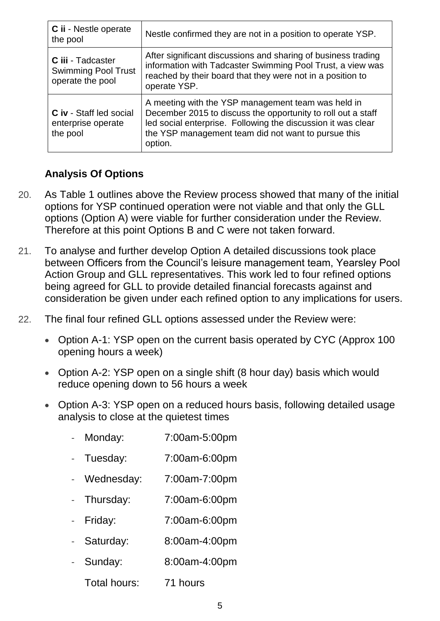| C ii - Nestle operate<br>the pool                                   | Nestle confirmed they are not in a position to operate YSP.                                                                                                                                                                                          |
|---------------------------------------------------------------------|------------------------------------------------------------------------------------------------------------------------------------------------------------------------------------------------------------------------------------------------------|
| C iii - Tadcaster<br><b>Swimming Pool Trust</b><br>operate the pool | After significant discussions and sharing of business trading<br>information with Tadcaster Swimming Pool Trust, a view was<br>reached by their board that they were not in a position to<br>operate YSP.                                            |
| <b>C</b> iv - Staff led social<br>enterprise operate<br>the pool    | A meeting with the YSP management team was held in<br>December 2015 to discuss the opportunity to roll out a staff<br>led social enterprise. Following the discussion it was clear<br>the YSP management team did not want to pursue this<br>option. |

#### **Analysis Of Options**

- 20. As Table 1 outlines above the Review process showed that many of the initial options for YSP continued operation were not viable and that only the GLL options (Option A) were viable for further consideration under the Review. Therefore at this point Options B and C were not taken forward.
- 21. To analyse and further develop Option A detailed discussions took place between Officers from the Council's leisure management team, Yearsley Pool Action Group and GLL representatives. This work led to four refined options being agreed for GLL to provide detailed financial forecasts against and consideration be given under each refined option to any implications for users.
- 22. The final four refined GLL options assessed under the Review were:
	- Option A-1: YSP open on the current basis operated by CYC (Approx 100) opening hours a week)
	- Option A-2: YSP open on a single shift (8 hour day) basis which would reduce opening down to 56 hours a week
	- Option A-3: YSP open on a reduced hours basis, following detailed usage analysis to close at the quietest times
		- Monday: 7:00am-5:00pm
		- Tuesday: 7:00am-6:00pm
		- Wednesday: 7:00am-7:00pm
		- Thursday: 7:00am-6:00pm
		- Friday: 7:00am-6:00pm
		- Saturday: 8:00am-4:00pm
		- Sunday: 8:00am-4:00pm
			- Total hours: 71 hours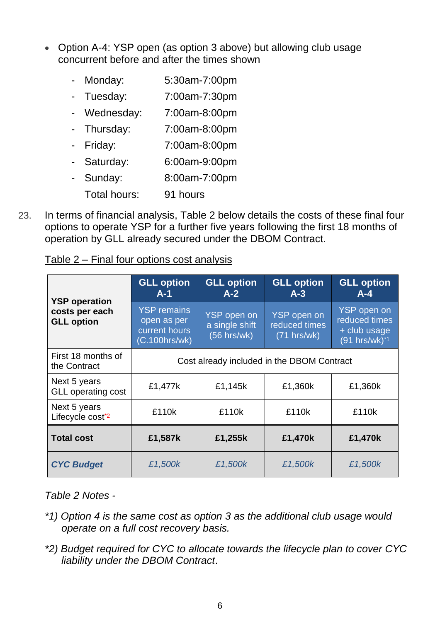- Option A-4: YSP open (as option 3 above) but allowing club usage concurrent before and after the times shown
	- Monday: 5:30am-7:00pm
	- Tuesday: 7:00am-7:30pm
	- Wednesday: 7:00am-8:00pm
	- Thursday: 7:00am-8:00pm
	- Friday: 7:00am-8:00pm
	- Saturday: 6:00am-9:00pm
	- Sunday: 8:00am-7:00pm
		- Total hours: 91 hours
- 23. In terms of financial analysis, Table 2 below details the costs of these final four options to operate YSP for a further five years following the first 18 months of operation by GLL already secured under the DBOM Contract.

| <b>YSP</b> operation<br>costs per each<br><b>GLL option</b> | <b>GLL option</b><br>$A-1$                                          | <b>GLL option</b><br>$A-2$                            | <b>GLL option</b><br>$A-3$                  | <b>GLL option</b><br>$A - 4$                                              |  |
|-------------------------------------------------------------|---------------------------------------------------------------------|-------------------------------------------------------|---------------------------------------------|---------------------------------------------------------------------------|--|
|                                                             | <b>YSP remains</b><br>open as per<br>current hours<br>(C.100hrs/wk) | <b>YSP</b> open on<br>a single shift<br>$(56$ hrs/wk) | YSP open on<br>reduced times<br>(71 hrs/wk) | <b>YSP</b> open on<br>reduced times<br>+ club usage<br>$(91 hrs/wk)^{*1}$ |  |
| First 18 months of<br>the Contract                          | Cost already included in the DBOM Contract                          |                                                       |                                             |                                                                           |  |
| Next 5 years<br><b>GLL operating cost</b>                   | £1,477k                                                             | £1,145k                                               | £1,360k                                     | £1,360k                                                                   |  |
| Next 5 years<br>Lifecycle cost*2                            | £110k                                                               | £110k                                                 | £110k                                       | £110k                                                                     |  |
| <b>Total cost</b>                                           | £1,587k                                                             | £1,255k                                               | £1,470k                                     | £1,470k                                                                   |  |
| <b>CYC Budget</b>                                           | £1,500k                                                             | £1,500k                                               | £1,500k                                     | £1,500k                                                                   |  |

Table 2 – Final four options cost analysis

#### *Table 2 Notes -*

- *\*1) Option 4 is the same cost as option 3 as the additional club usage would operate on a full cost recovery basis.*
- *\*2) Budget required for CYC to allocate towards the lifecycle plan to cover CYC liability under the DBOM Contract*.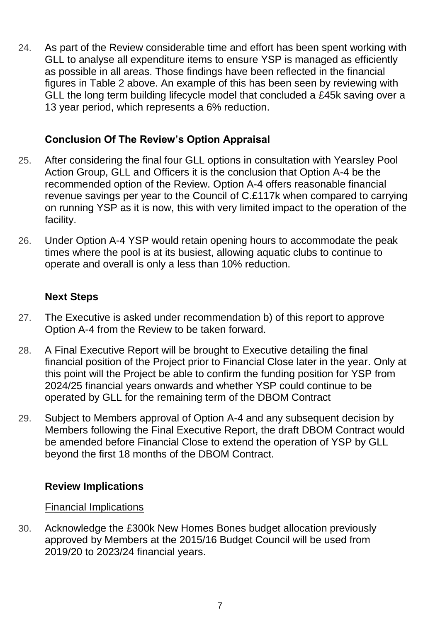24. As part of the Review considerable time and effort has been spent working with GLL to analyse all expenditure items to ensure YSP is managed as efficiently as possible in all areas. Those findings have been reflected in the financial figures in Table 2 above. An example of this has been seen by reviewing with GLL the long term building lifecycle model that concluded a £45k saving over a 13 year period, which represents a 6% reduction.

#### **Conclusion Of The Review's Option Appraisal**

- 25. After considering the final four GLL options in consultation with Yearsley Pool Action Group, GLL and Officers it is the conclusion that Option A-4 be the recommended option of the Review. Option A-4 offers reasonable financial revenue savings per year to the Council of C.£117k when compared to carrying on running YSP as it is now, this with very limited impact to the operation of the facility.
- 26. Under Option A-4 YSP would retain opening hours to accommodate the peak times where the pool is at its busiest, allowing aquatic clubs to continue to operate and overall is only a less than 10% reduction.

#### **Next Steps**

- 27. The Executive is asked under recommendation b) of this report to approve Option A-4 from the Review to be taken forward.
- 28. A Final Executive Report will be brought to Executive detailing the final financial position of the Project prior to Financial Close later in the year. Only at this point will the Project be able to confirm the funding position for YSP from 2024/25 financial years onwards and whether YSP could continue to be operated by GLL for the remaining term of the DBOM Contract
- 29. Subject to Members approval of Option A-4 and any subsequent decision by Members following the Final Executive Report, the draft DBOM Contract would be amended before Financial Close to extend the operation of YSP by GLL beyond the first 18 months of the DBOM Contract.

#### **Review Implications**

#### Financial Implications

30. Acknowledge the £300k New Homes Bones budget allocation previously approved by Members at the 2015/16 Budget Council will be used from 2019/20 to 2023/24 financial years.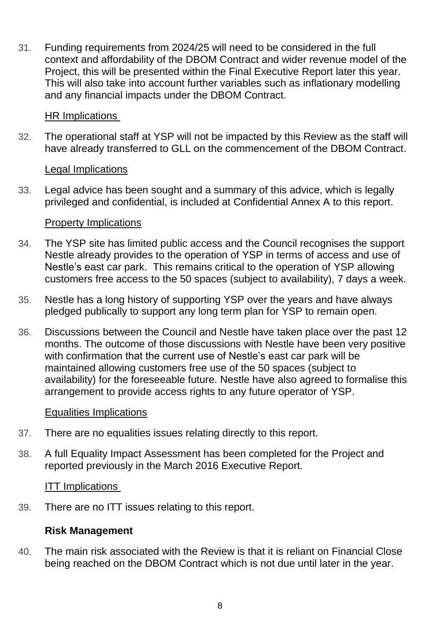31. Funding requirements from 2024/25 will need to be considered in the full context and affordability of the DBOM Contract and wider revenue model of the Project, this will be presented within the Final Executive Report later this year. This will also take into account further variables such as inflationary modelling and any financial impacts under the DBOM Contract.

#### HR Implications

32. The operational staff at YSP will not be impacted by this Review as the staff will have already transferred to GLL on the commencement of the DBOM Contract.

#### Legal Implications

33. Legal advice has been sought and a summary of this advice, which is legally privileged and confidential, is included at Confidential Annex A to this report.

#### Property Implications

- 34. The YSP site has limited public access and the Council recognises the support Nestle already provides to the operation of YSP in terms of access and use of Nestle's east car park. This remains critical to the operation of YSP allowing customers free access to the 50 spaces (subject to availability), 7 days a week.
- 35. Nestle has a long history of supporting YSP over the years and have always pledged publically to support any long term plan for YSP to remain open.
- 36. Discussions between the Council and Nestle have taken place over the past 12 months. The outcome of those discussions with Nestle have been very positive with confirmation that the current use of Nestle's east car park will be maintained allowing customers free use of the 50 spaces (subject to availability) for the foreseeable future. Nestle have also agreed to formalise this arrangement to provide access rights to any future operator of YSP.

#### Equalities Implications

- 37. There are no equalities issues relating directly to this report.
- 38. A full Equality Impact Assessment has been completed for the Project and reported previously in the March 2016 Executive Report.

#### ITT Implications

39. There are no ITT issues relating to this report.

#### **Risk Management**

40. The main risk associated with the Review is that it is reliant on Financial Close being reached on the DBOM Contract which is not due until later in the year.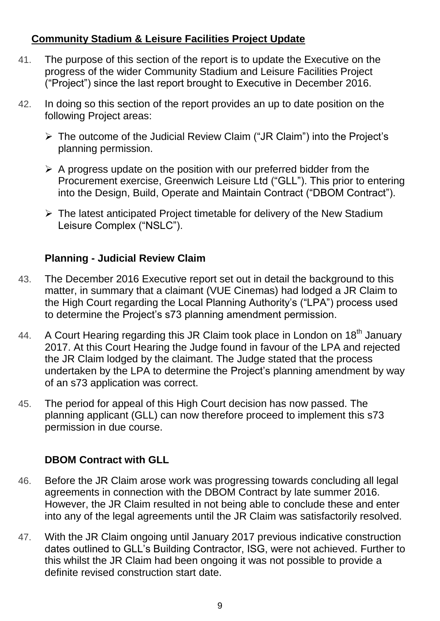#### **Community Stadium & Leisure Facilities Project Update**

- 41. The purpose of this section of the report is to update the Executive on the progress of the wider Community Stadium and Leisure Facilities Project ("Project") since the last report brought to Executive in December 2016.
- 42. In doing so this section of the report provides an up to date position on the following Project areas:
	- $\triangleright$  The outcome of the Judicial Review Claim ("JR Claim") into the Project's planning permission.
	- $\triangleright$  A progress update on the position with our preferred bidder from the Procurement exercise, Greenwich Leisure Ltd ("GLL"). This prior to entering into the Design, Build, Operate and Maintain Contract ("DBOM Contract").
	- $\triangleright$  The latest anticipated Project timetable for delivery of the New Stadium Leisure Complex ("NSLC").

## **Planning - Judicial Review Claim**

- 43. The December 2016 Executive report set out in detail the background to this matter, in summary that a claimant (VUE Cinemas) had lodged a JR Claim to the High Court regarding the Local Planning Authority's ("LPA") process used to determine the Project's s73 planning amendment permission.
- 44. A Court Hearing regarding this JR Claim took place in London on 18<sup>th</sup> January 2017. At this Court Hearing the Judge found in favour of the LPA and rejected the JR Claim lodged by the claimant. The Judge stated that the process undertaken by the LPA to determine the Project's planning amendment by way of an s73 application was correct.
- 45. The period for appeal of this High Court decision has now passed. The planning applicant (GLL) can now therefore proceed to implement this s73 permission in due course.

## **DBOM Contract with GLL**

- 46. Before the JR Claim arose work was progressing towards concluding all legal agreements in connection with the DBOM Contract by late summer 2016. However, the JR Claim resulted in not being able to conclude these and enter into any of the legal agreements until the JR Claim was satisfactorily resolved.
- 47. With the JR Claim ongoing until January 2017 previous indicative construction dates outlined to GLL's Building Contractor, ISG, were not achieved. Further to this whilst the JR Claim had been ongoing it was not possible to provide a definite revised construction start date.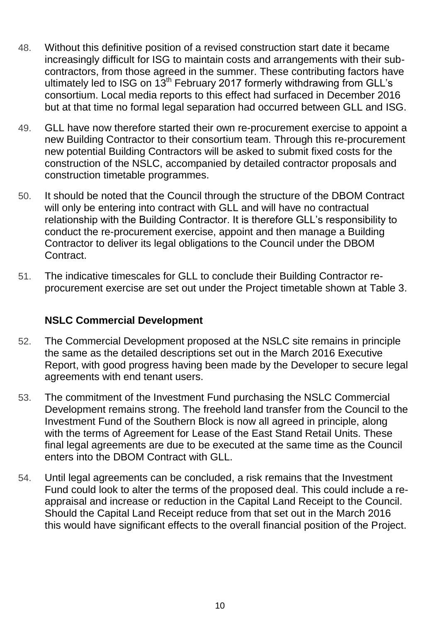- 48. Without this definitive position of a revised construction start date it became increasingly difficult for ISG to maintain costs and arrangements with their subcontractors, from those agreed in the summer. These contributing factors have ultimately led to ISG on 13<sup>th</sup> February 2017 formerly withdrawing from GLL's consortium. Local media reports to this effect had surfaced in December 2016 but at that time no formal legal separation had occurred between GLL and ISG.
- 49. GLL have now therefore started their own re-procurement exercise to appoint a new Building Contractor to their consortium team. Through this re-procurement new potential Building Contractors will be asked to submit fixed costs for the construction of the NSLC, accompanied by detailed contractor proposals and construction timetable programmes.
- 50. It should be noted that the Council through the structure of the DBOM Contract will only be entering into contract with GLL and will have no contractual relationship with the Building Contractor. It is therefore GLL's responsibility to conduct the re-procurement exercise, appoint and then manage a Building Contractor to deliver its legal obligations to the Council under the DBOM **Contract**
- 51. The indicative timescales for GLL to conclude their Building Contractor reprocurement exercise are set out under the Project timetable shown at Table 3.

#### **NSLC Commercial Development**

- 52. The Commercial Development proposed at the NSLC site remains in principle the same as the detailed descriptions set out in the March 2016 Executive Report, with good progress having been made by the Developer to secure legal agreements with end tenant users.
- 53. The commitment of the Investment Fund purchasing the NSLC Commercial Development remains strong. The freehold land transfer from the Council to the Investment Fund of the Southern Block is now all agreed in principle, along with the terms of Agreement for Lease of the East Stand Retail Units. These final legal agreements are due to be executed at the same time as the Council enters into the DBOM Contract with GLL.
- 54. Until legal agreements can be concluded, a risk remains that the Investment Fund could look to alter the terms of the proposed deal. This could include a reappraisal and increase or reduction in the Capital Land Receipt to the Council. Should the Capital Land Receipt reduce from that set out in the March 2016 this would have significant effects to the overall financial position of the Project.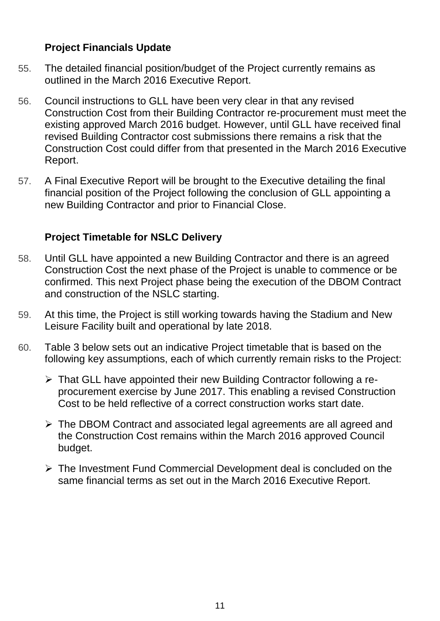#### **Project Financials Update**

- 55. The detailed financial position/budget of the Project currently remains as outlined in the March 2016 Executive Report.
- 56. Council instructions to GLL have been very clear in that any revised Construction Cost from their Building Contractor re-procurement must meet the existing approved March 2016 budget. However, until GLL have received final revised Building Contractor cost submissions there remains a risk that the Construction Cost could differ from that presented in the March 2016 Executive Report.
- 57. A Final Executive Report will be brought to the Executive detailing the final financial position of the Project following the conclusion of GLL appointing a new Building Contractor and prior to Financial Close.

## **Project Timetable for NSLC Delivery**

- 58. Until GLL have appointed a new Building Contractor and there is an agreed Construction Cost the next phase of the Project is unable to commence or be confirmed. This next Project phase being the execution of the DBOM Contract and construction of the NSLC starting.
- 59. At this time, the Project is still working towards having the Stadium and New Leisure Facility built and operational by late 2018.
- 60. Table 3 below sets out an indicative Project timetable that is based on the following key assumptions, each of which currently remain risks to the Project:
	- That GLL have appointed their new Building Contractor following a reprocurement exercise by June 2017. This enabling a revised Construction Cost to be held reflective of a correct construction works start date.
	- The DBOM Contract and associated legal agreements are all agreed and the Construction Cost remains within the March 2016 approved Council budget.
	- $\triangleright$  The Investment Fund Commercial Development deal is concluded on the same financial terms as set out in the March 2016 Executive Report.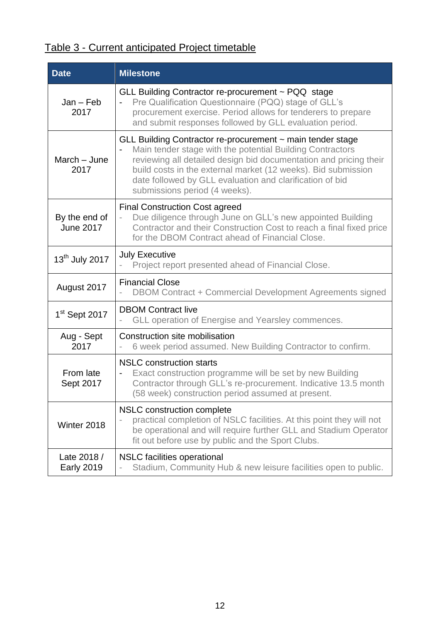# Table 3 - Current anticipated Project timetable

| <b>Date</b>                       | <b>Milestone</b>                                                                                                                                                                                                                                                                                                                                           |
|-----------------------------------|------------------------------------------------------------------------------------------------------------------------------------------------------------------------------------------------------------------------------------------------------------------------------------------------------------------------------------------------------------|
| $Jan - Feb$<br>2017               | GLL Building Contractor re-procurement ~ PQQ stage<br>Pre Qualification Questionnaire (PQQ) stage of GLL's<br>procurement exercise. Period allows for tenderers to prepare<br>and submit responses followed by GLL evaluation period.                                                                                                                      |
| March - June<br>2017              | GLL Building Contractor re-procurement ~ main tender stage<br>Main tender stage with the potential Building Contractors<br>reviewing all detailed design bid documentation and pricing their<br>build costs in the external market (12 weeks). Bid submission<br>date followed by GLL evaluation and clarification of bid<br>submissions period (4 weeks). |
| By the end of<br><b>June 2017</b> | <b>Final Construction Cost agreed</b><br>Due diligence through June on GLL's new appointed Building<br>Contractor and their Construction Cost to reach a final fixed price<br>for the DBOM Contract ahead of Financial Close.                                                                                                                              |
| 13 <sup>th</sup> July 2017        | <b>July Executive</b><br>Project report presented ahead of Financial Close.                                                                                                                                                                                                                                                                                |
| August 2017                       | <b>Financial Close</b><br>DBOM Contract + Commercial Development Agreements signed                                                                                                                                                                                                                                                                         |
| $1st$ Sept 2017                   | <b>DBOM Contract live</b><br>GLL operation of Energise and Yearsley commences.                                                                                                                                                                                                                                                                             |
| Aug - Sept<br>2017                | Construction site mobilisation<br>6 week period assumed. New Building Contractor to confirm.<br>÷,                                                                                                                                                                                                                                                         |
| From late<br>Sept 2017            | <b>NSLC</b> construction starts<br>Exact construction programme will be set by new Building<br>$\blacksquare$<br>Contractor through GLL's re-procurement. Indicative 13.5 month<br>(58 week) construction period assumed at present.                                                                                                                       |
| Winter 2018                       | NSLC construction complete<br>practical completion of NSLC facilities. At this point they will not<br>be operational and will require further GLL and Stadium Operator<br>fit out before use by public and the Sport Clubs.                                                                                                                                |
| Late 2018 /<br><b>Early 2019</b>  | <b>NSLC</b> facilities operational<br>Stadium, Community Hub & new leisure facilities open to public.                                                                                                                                                                                                                                                      |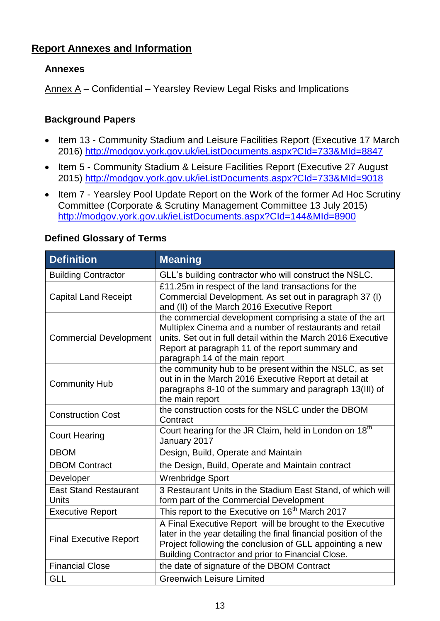#### **Report Annexes and Information**

#### **Annexes**

Annex A – Confidential – Yearsley Review Legal Risks and Implications

#### **Background Papers**

- Item 13 Community Stadium and Leisure Facilities Report (Executive 17 March 2016)<http://modgov.york.gov.uk/ieListDocuments.aspx?CId=733&MId=8847>
- Item 5 Community Stadium & Leisure Facilities Report (Executive 27 August) 2015) <http://modgov.york.gov.uk/ieListDocuments.aspx?CId=733&MId=9018>
- Item 7 Yearsley Pool Update Report on the Work of the former Ad Hoc Scrutiny Committee (Corporate & Scrutiny Management Committee 13 July 2015) <http://modgov.york.gov.uk/ieListDocuments.aspx?CId=144&MId=8900>

| <b>Definition</b>                     | <b>Meaning</b>                                                                                                                                                                                                                                                              |  |  |
|---------------------------------------|-----------------------------------------------------------------------------------------------------------------------------------------------------------------------------------------------------------------------------------------------------------------------------|--|--|
| <b>Building Contractor</b>            | GLL's building contractor who will construct the NSLC.                                                                                                                                                                                                                      |  |  |
| <b>Capital Land Receipt</b>           | £11.25m in respect of the land transactions for the<br>Commercial Development. As set out in paragraph 37 (I)<br>and (II) of the March 2016 Executive Report                                                                                                                |  |  |
| <b>Commercial Development</b>         | the commercial development comprising a state of the art<br>Multiplex Cinema and a number of restaurants and retail<br>units. Set out in full detail within the March 2016 Executive<br>Report at paragraph 11 of the report summary and<br>paragraph 14 of the main report |  |  |
| <b>Community Hub</b>                  | the community hub to be present within the NSLC, as set<br>out in in the March 2016 Executive Report at detail at<br>paragraphs 8-10 of the summary and paragraph 13(III) of<br>the main report                                                                             |  |  |
| <b>Construction Cost</b>              | the construction costs for the NSLC under the DBOM<br>Contract                                                                                                                                                                                                              |  |  |
| <b>Court Hearing</b>                  | Court hearing for the JR Claim, held in London on 18 <sup>th</sup><br>January 2017                                                                                                                                                                                          |  |  |
| <b>DBOM</b>                           | Design, Build, Operate and Maintain                                                                                                                                                                                                                                         |  |  |
| <b>DBOM Contract</b>                  | the Design, Build, Operate and Maintain contract                                                                                                                                                                                                                            |  |  |
| Developer                             | <b>Wrenbridge Sport</b>                                                                                                                                                                                                                                                     |  |  |
| <b>East Stand Restaurant</b><br>Units | 3 Restaurant Units in the Stadium East Stand, of which will<br>form part of the Commercial Development                                                                                                                                                                      |  |  |
| <b>Executive Report</b>               | This report to the Executive on 16 <sup>th</sup> March 2017                                                                                                                                                                                                                 |  |  |
| <b>Final Executive Report</b>         | A Final Executive Report will be brought to the Executive<br>later in the year detailing the final financial position of the<br>Project following the conclusion of GLL appointing a new<br>Building Contractor and prior to Financial Close.                               |  |  |
| <b>Financial Close</b>                | the date of signature of the DBOM Contract                                                                                                                                                                                                                                  |  |  |
| <b>GLL</b>                            | <b>Greenwich Leisure Limited</b>                                                                                                                                                                                                                                            |  |  |

#### **Defined Glossary of Terms**